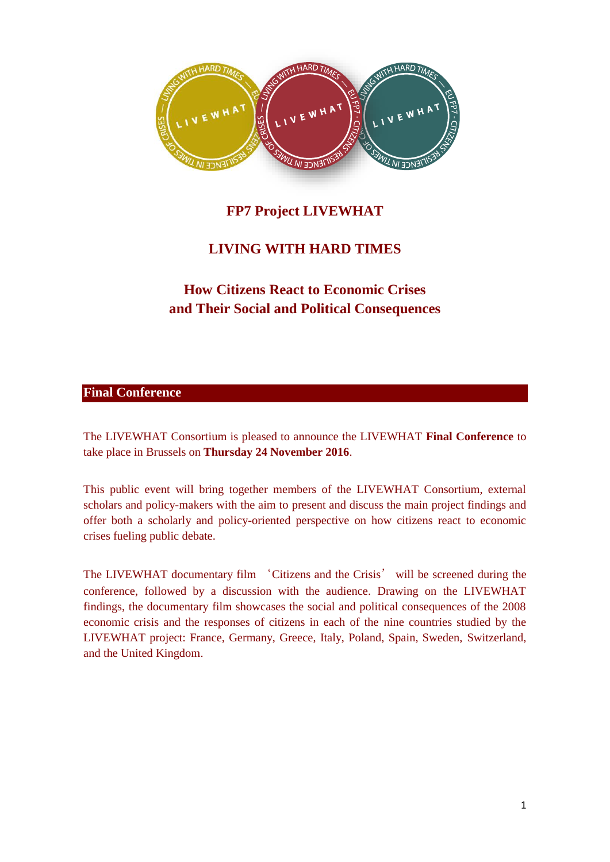

# **FP7 Project LIVEWHAT**

# **LIVING WITH HARD TIMES**

# **How Citizens React to Economic Crises and Their Social and Political Consequences**

## **Final Conference**

The LIVEWHAT Consortium is pleased to announce the LIVEWHAT **Final Conference** to take place in Brussels on **Thursday 24 November 2016**.

This public event will bring together members of the LIVEWHAT Consortium, external scholars and policy-makers with the aim to present and discuss the main project findings and offer both a scholarly and policy-oriented perspective on how citizens react to economic crises fueling public debate.

The LIVEWHAT documentary film 'Citizens and the Crisis' will be screened during the conference, followed by a discussion with the audience. Drawing on the LIVEWHAT findings, the documentary film showcases the social and political consequences of the 2008 economic crisis and the responses of citizens in each of the nine countries studied by the LIVEWHAT project: France, Germany, Greece, Italy, Poland, Spain, Sweden, Switzerland, and the United Kingdom.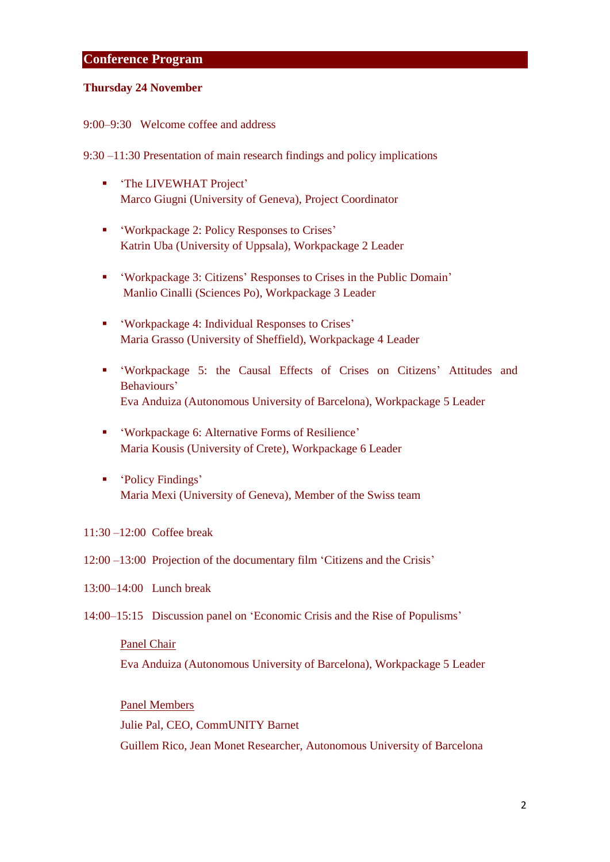## **Conference Program**

#### **Thursday 24 November**

9:00–9:30 Welcome coffee and address

9:30 –11:30 Presentation of main research findings and policy implications

- 'The LIVEWHAT Project' Marco Giugni (University of Geneva), Project Coordinator
- 'Workpackage 2: Policy Responses to Crises' Katrin Uba (University of Uppsala), Workpackage 2 Leader
- 'Workpackage 3: Citizens' Responses to Crises in the Public Domain' Manlio Cinalli (Sciences Po), Workpackage 3 Leader
- 'Workpackage 4: Individual Responses to Crises' Maria Grasso (University of Sheffield), Workpackage 4 Leader
- 'Workpackage 5: the Causal Effects of Crises on Citizens' Attitudes and Behaviours' Eva Anduiza (Autonomous University of Barcelona), Workpackage 5 Leader
- 'Workpackage 6: Alternative Forms of Resilience' Maria Kousis (University of Crete), Workpackage 6 Leader
- 'Policy Findings' Maria Mexi (University of Geneva), Member of the Swiss team

## 11:30 –12:00 Coffee break

12:00 –13:00 Projection of the documentary film 'Citizens and the Crisis'

13:00–14:00 Lunch break

14:00–15:15 Discussion panel on 'Economic Crisis and the Rise of Populisms'

#### Panel Chair

Eva Anduiza (Autonomous University of Barcelona), Workpackage 5 Leader

## Panel Members

Julie Pal, CEO, CommUNITY Barnet

Guillem Rico, Jean Monet Researcher, Autonomous University of Barcelona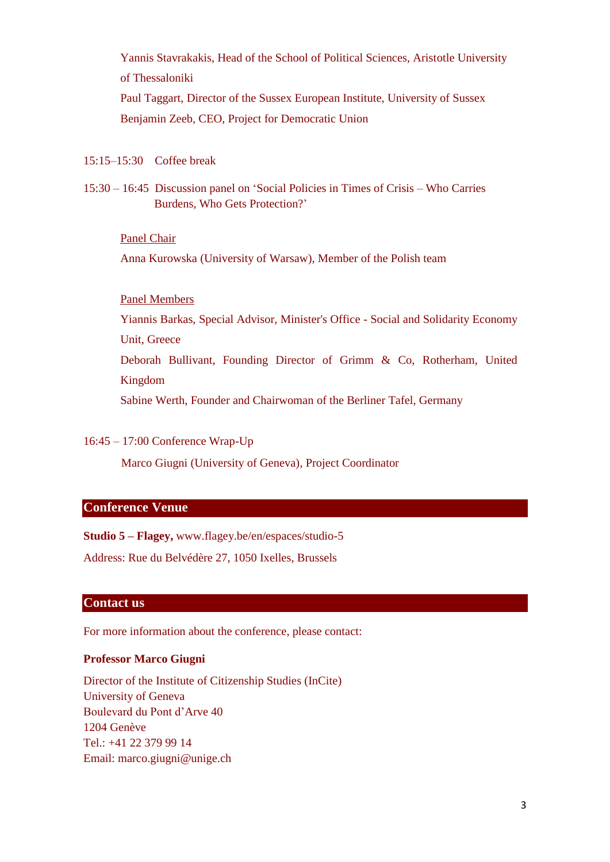Yannis Stavrakakis, Head of the School of Political Sciences, Aristotle University of Thessaloniki Paul Taggart, Director of the Sussex European Institute, University of Sussex Benjamin Zeeb, CEO, Project for Democratic Union

15:15–15:30 Coffee break

15:30 – 16:45 Discussion panel on 'Social Policies in Times of Crisis – Who Carries Burdens, Who Gets Protection?'

#### Panel Chair

Anna Kurowska (University of Warsaw), Member of the Polish team

## Panel Members

Yiannis Barkas, Special Advisor, Minister's Office - Social and Solidarity Economy Unit, Greece

Deborah Bullivant, Founding Director of Grimm & Co, Rotherham, United Kingdom

Sabine Werth, Founder and Chairwoman of the Berliner Tafel, Germany

### 16:45 – 17:00 Conference Wrap-Up

Marco Giugni (University of Geneva), Project Coordinator

#### **Conference Venue**

**Studio 5 – Flagey,** www.flagey.be/en/espaces/studio-5

Address: Rue du Belvédère 27, 1050 Ixelles, Brussels

## **Contact us**

For more information about the conference, please contact:

#### **Professor Marco Giugni**

Director of the Institute of Citizenship Studies (InCite) University of Geneva Boulevard du Pont d'Arve 40 1204 Genève Tel.: +41 22 379 99 14 Email: marco.giugni@unige.ch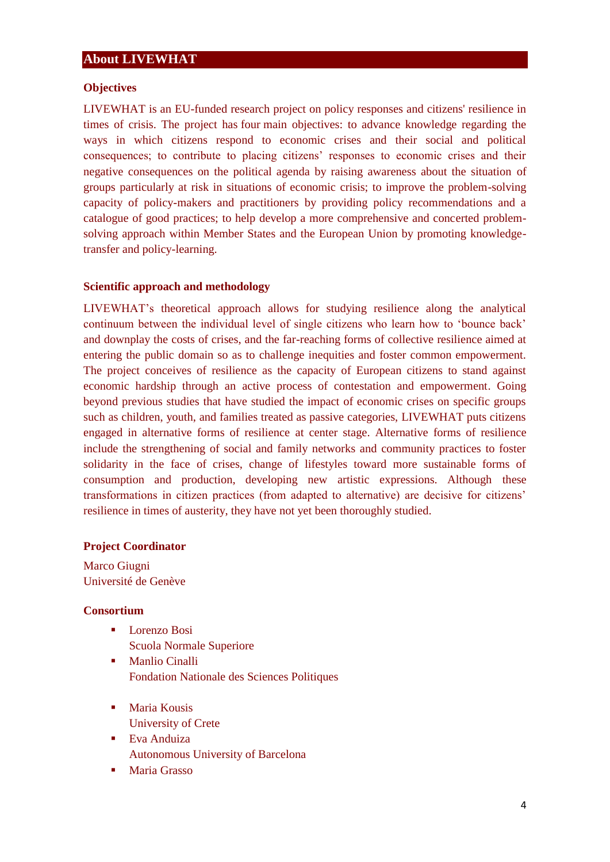## **About LIVEWHAT**

### **Objectives**

LIVEWHAT is an EU-funded research project on policy responses and citizens' resilience in times of crisis. The project has four main objectives: to advance knowledge regarding the ways in which citizens respond to economic crises and their social and political consequences; to contribute to placing citizens' responses to economic crises and their negative consequences on the political agenda by raising awareness about the situation of groups particularly at risk in situations of economic crisis; to improve the problem-solving capacity of policy-makers and practitioners by providing policy recommendations and a catalogue of good practices; to help develop a more comprehensive and concerted problemsolving approach within Member States and the European Union by promoting knowledgetransfer and policy-learning.

#### **Scientific approach and methodology**

LIVEWHAT's theoretical approach allows for studying resilience along the analytical continuum between the individual level of single citizens who learn how to 'bounce back' and downplay the costs of crises, and the far-reaching forms of collective resilience aimed at entering the public domain so as to challenge inequities and foster common empowerment. The project conceives of resilience as the capacity of European citizens to stand against economic hardship through an active process of contestation and empowerment. Going beyond previous studies that have studied the impact of economic crises on specific groups such as children, youth, and families treated as passive categories, LIVEWHAT puts citizens engaged in alternative forms of resilience at center stage. Alternative forms of resilience include the strengthening of social and family networks and community practices to foster solidarity in the face of crises, change of lifestyles toward more sustainable forms of consumption and production, developing new artistic expressions. Although these transformations in citizen practices (from adapted to alternative) are decisive for citizens' resilience in times of austerity, they have not yet been thoroughly studied.

#### **Project Coordinator**

Marco Giugni Université de Genève

## **Consortium**

- Lorenzo Bosi
	- Scuola Normale Superiore
- Manlio Cinalli Fondation Nationale des Sciences Politiques
- Maria Kousis University of Crete
- Eva Anduiza Autonomous University of Barcelona
- Maria Grasso